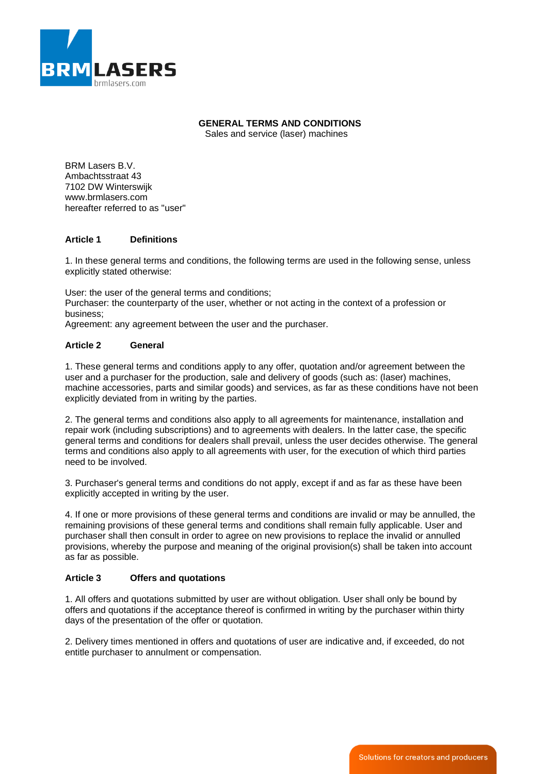

# **GENERAL TERMS AND CONDITIONS**

Sales and service (laser) machines

BRM Lasers B.V. Ambachtsstraat 43 7102 DW Winterswijk www.brmlasers.com hereafter referred to as "user"

# **Article 1 Definitions**

1. In these general terms and conditions, the following terms are used in the following sense, unless explicitly stated otherwise:

User: the user of the general terms and conditions; Purchaser: the counterparty of the user, whether or not acting in the context of a profession or business;

Agreement: any agreement between the user and the purchaser.

# **Article 2 General**

1. These general terms and conditions apply to any offer, quotation and/or agreement between the user and a purchaser for the production, sale and delivery of goods (such as: (laser) machines, machine accessories, parts and similar goods) and services, as far as these conditions have not been explicitly deviated from in writing by the parties.

2. The general terms and conditions also apply to all agreements for maintenance, installation and repair work (including subscriptions) and to agreements with dealers. In the latter case, the specific general terms and conditions for dealers shall prevail, unless the user decides otherwise. The general terms and conditions also apply to all agreements with user, for the execution of which third parties need to be involved.

3. Purchaser's general terms and conditions do not apply, except if and as far as these have been explicitly accepted in writing by the user.

4. If one or more provisions of these general terms and conditions are invalid or may be annulled, the remaining provisions of these general terms and conditions shall remain fully applicable. User and purchaser shall then consult in order to agree on new provisions to replace the invalid or annulled provisions, whereby the purpose and meaning of the original provision(s) shall be taken into account as far as possible.

# **Article 3 Offers and quotations**

1. All offers and quotations submitted by user are without obligation. User shall only be bound by offers and quotations if the acceptance thereof is confirmed in writing by the purchaser within thirty days of the presentation of the offer or quotation.

2. Delivery times mentioned in offers and quotations of user are indicative and, if exceeded, do not entitle purchaser to annulment or compensation.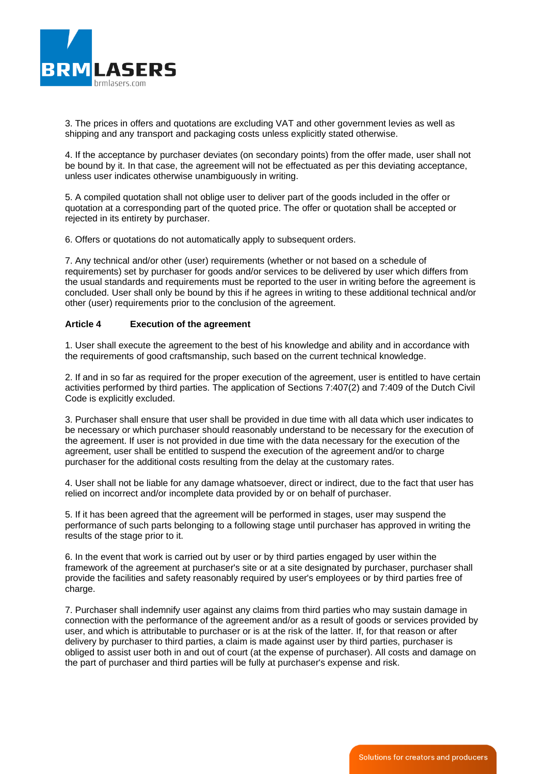

3. The prices in offers and quotations are excluding VAT and other government levies as well as shipping and any transport and packaging costs unless explicitly stated otherwise.

4. If the acceptance by purchaser deviates (on secondary points) from the offer made, user shall not be bound by it. In that case, the agreement will not be effectuated as per this deviating acceptance, unless user indicates otherwise unambiguously in writing.

5. A compiled quotation shall not oblige user to deliver part of the goods included in the offer or quotation at a corresponding part of the quoted price. The offer or quotation shall be accepted or rejected in its entirety by purchaser.

6. Offers or quotations do not automatically apply to subsequent orders.

7. Any technical and/or other (user) requirements (whether or not based on a schedule of requirements) set by purchaser for goods and/or services to be delivered by user which differs from the usual standards and requirements must be reported to the user in writing before the agreement is concluded. User shall only be bound by this if he agrees in writing to these additional technical and/or other (user) requirements prior to the conclusion of the agreement.

### **Article 4 Execution of the agreement**

1. User shall execute the agreement to the best of his knowledge and ability and in accordance with the requirements of good craftsmanship, such based on the current technical knowledge.

2. If and in so far as required for the proper execution of the agreement, user is entitled to have certain activities performed by third parties. The application of Sections 7:407(2) and 7:409 of the Dutch Civil Code is explicitly excluded.

3. Purchaser shall ensure that user shall be provided in due time with all data which user indicates to be necessary or which purchaser should reasonably understand to be necessary for the execution of the agreement. If user is not provided in due time with the data necessary for the execution of the agreement, user shall be entitled to suspend the execution of the agreement and/or to charge purchaser for the additional costs resulting from the delay at the customary rates.

4. User shall not be liable for any damage whatsoever, direct or indirect, due to the fact that user has relied on incorrect and/or incomplete data provided by or on behalf of purchaser.

5. If it has been agreed that the agreement will be performed in stages, user may suspend the performance of such parts belonging to a following stage until purchaser has approved in writing the results of the stage prior to it.

6. In the event that work is carried out by user or by third parties engaged by user within the framework of the agreement at purchaser's site or at a site designated by purchaser, purchaser shall provide the facilities and safety reasonably required by user's employees or by third parties free of charge.

7. Purchaser shall indemnify user against any claims from third parties who may sustain damage in connection with the performance of the agreement and/or as a result of goods or services provided by user, and which is attributable to purchaser or is at the risk of the latter. If, for that reason or after delivery by purchaser to third parties, a claim is made against user by third parties, purchaser is obliged to assist user both in and out of court (at the expense of purchaser). All costs and damage on the part of purchaser and third parties will be fully at purchaser's expense and risk.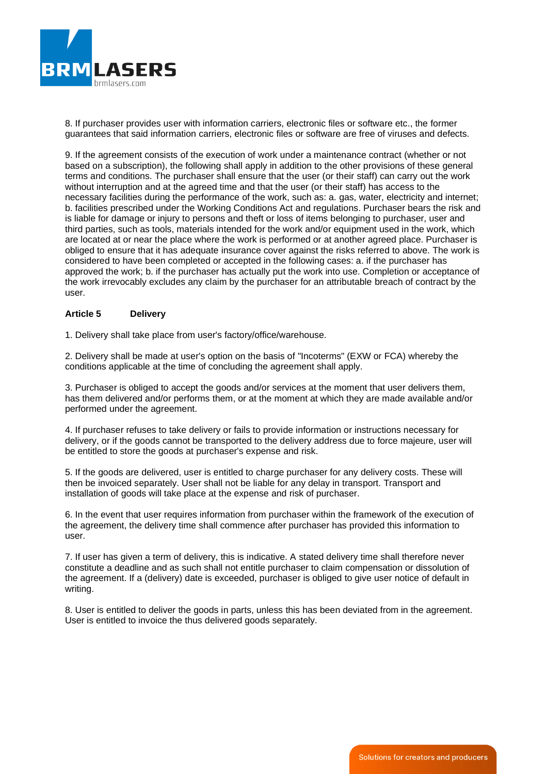

8. If purchaser provides user with information carriers, electronic files or software etc., the former guarantees that said information carriers, electronic files or software are free of viruses and defects.

9. If the agreement consists of the execution of work under a maintenance contract (whether or not based on a subscription), the following shall apply in addition to the other provisions of these general terms and conditions. The purchaser shall ensure that the user (or their staff) can carry out the work without interruption and at the agreed time and that the user (or their staff) has access to the necessary facilities during the performance of the work, such as: a. gas, water, electricity and internet; b. facilities prescribed under the Working Conditions Act and regulations. Purchaser bears the risk and is liable for damage or injury to persons and theft or loss of items belonging to purchaser, user and third parties, such as tools, materials intended for the work and/or equipment used in the work, which are located at or near the place where the work is performed or at another agreed place. Purchaser is obliged to ensure that it has adequate insurance cover against the risks referred to above. The work is considered to have been completed or accepted in the following cases: a. if the purchaser has approved the work; b. if the purchaser has actually put the work into use. Completion or acceptance of the work irrevocably excludes any claim by the purchaser for an attributable breach of contract by the user.

### **Article 5 Delivery**

1. Delivery shall take place from user's factory/office/warehouse.

2. Delivery shall be made at user's option on the basis of "Incoterms" (EXW or FCA) whereby the conditions applicable at the time of concluding the agreement shall apply.

3. Purchaser is obliged to accept the goods and/or services at the moment that user delivers them, has them delivered and/or performs them, or at the moment at which they are made available and/or performed under the agreement.

4. If purchaser refuses to take delivery or fails to provide information or instructions necessary for delivery, or if the goods cannot be transported to the delivery address due to force majeure, user will be entitled to store the goods at purchaser's expense and risk.

5. If the goods are delivered, user is entitled to charge purchaser for any delivery costs. These will then be invoiced separately. User shall not be liable for any delay in transport. Transport and installation of goods will take place at the expense and risk of purchaser.

6. In the event that user requires information from purchaser within the framework of the execution of the agreement, the delivery time shall commence after purchaser has provided this information to user.

7. If user has given a term of delivery, this is indicative. A stated delivery time shall therefore never constitute a deadline and as such shall not entitle purchaser to claim compensation or dissolution of the agreement. If a (delivery) date is exceeded, purchaser is obliged to give user notice of default in writing.

8. User is entitled to deliver the goods in parts, unless this has been deviated from in the agreement. User is entitled to invoice the thus delivered goods separately.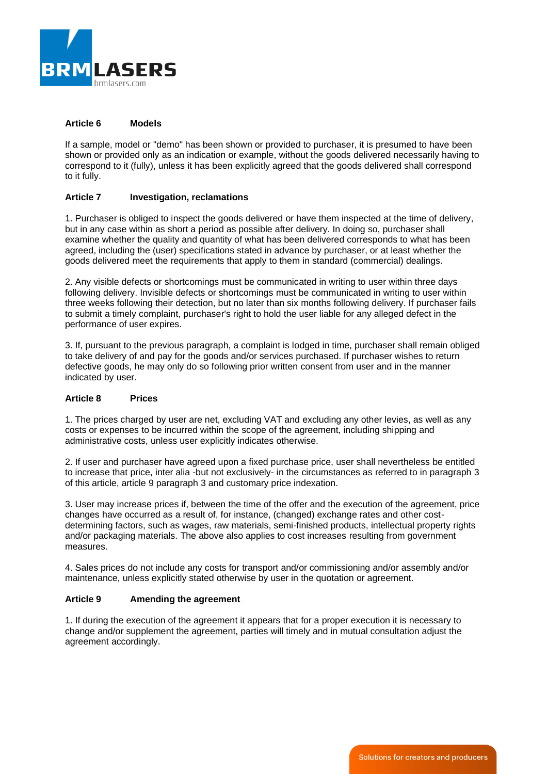

### **Article 6 Models**

If a sample, model or "demo" has been shown or provided to purchaser, it is presumed to have been shown or provided only as an indication or example, without the goods delivered necessarily having to correspond to it (fully), unless it has been explicitly agreed that the goods delivered shall correspond to it fully.

### **Article 7 Investigation, reclamations**

1. Purchaser is obliged to inspect the goods delivered or have them inspected at the time of delivery, but in any case within as short a period as possible after delivery. In doing so, purchaser shall examine whether the quality and quantity of what has been delivered corresponds to what has been agreed, including the (user) specifications stated in advance by purchaser, or at least whether the goods delivered meet the requirements that apply to them in standard (commercial) dealings.

2. Any visible defects or shortcomings must be communicated in writing to user within three days following delivery. Invisible defects or shortcomings must be communicated in writing to user within three weeks following their detection, but no later than six months following delivery. If purchaser fails to submit a timely complaint, purchaser's right to hold the user liable for any alleged defect in the performance of user expires.

3. If, pursuant to the previous paragraph, a complaint is lodged in time, purchaser shall remain obliged to take delivery of and pay for the goods and/or services purchased. If purchaser wishes to return defective goods, he may only do so following prior written consent from user and in the manner indicated by user.

### **Article 8 Prices**

1. The prices charged by user are net, excluding VAT and excluding any other levies, as well as any costs or expenses to be incurred within the scope of the agreement, including shipping and administrative costs, unless user explicitly indicates otherwise.

2. If user and purchaser have agreed upon a fixed purchase price, user shall nevertheless be entitled to increase that price, inter alia -but not exclusively- in the circumstances as referred to in paragraph 3 of this article, article 9 paragraph 3 and customary price indexation.

3. User may increase prices if, between the time of the offer and the execution of the agreement, price changes have occurred as a result of, for instance, (changed) exchange rates and other costdetermining factors, such as wages, raw materials, semi-finished products, intellectual property rights and/or packaging materials. The above also applies to cost increases resulting from government measures.

4. Sales prices do not include any costs for transport and/or commissioning and/or assembly and/or maintenance, unless explicitly stated otherwise by user in the quotation or agreement.

# **Article 9 Amending the agreement**

1. If during the execution of the agreement it appears that for a proper execution it is necessary to change and/or supplement the agreement, parties will timely and in mutual consultation adjust the agreement accordingly.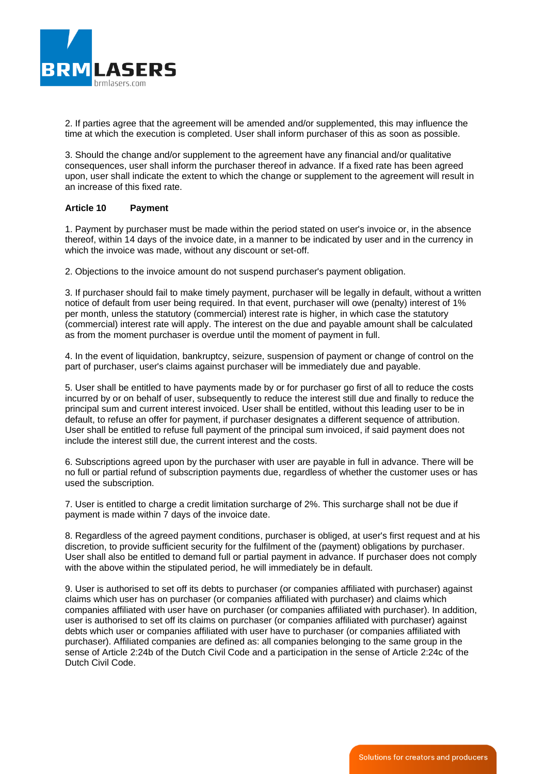

2. If parties agree that the agreement will be amended and/or supplemented, this may influence the time at which the execution is completed. User shall inform purchaser of this as soon as possible.

3. Should the change and/or supplement to the agreement have any financial and/or qualitative consequences, user shall inform the purchaser thereof in advance. If a fixed rate has been agreed upon, user shall indicate the extent to which the change or supplement to the agreement will result in an increase of this fixed rate.

### **Article 10 Payment**

1. Payment by purchaser must be made within the period stated on user's invoice or, in the absence thereof, within 14 days of the invoice date, in a manner to be indicated by user and in the currency in which the invoice was made, without any discount or set-off.

2. Objections to the invoice amount do not suspend purchaser's payment obligation.

3. If purchaser should fail to make timely payment, purchaser will be legally in default, without a written notice of default from user being required. In that event, purchaser will owe (penalty) interest of 1% per month, unless the statutory (commercial) interest rate is higher, in which case the statutory (commercial) interest rate will apply. The interest on the due and payable amount shall be calculated as from the moment purchaser is overdue until the moment of payment in full.

4. In the event of liquidation, bankruptcy, seizure, suspension of payment or change of control on the part of purchaser, user's claims against purchaser will be immediately due and payable.

5. User shall be entitled to have payments made by or for purchaser go first of all to reduce the costs incurred by or on behalf of user, subsequently to reduce the interest still due and finally to reduce the principal sum and current interest invoiced. User shall be entitled, without this leading user to be in default, to refuse an offer for payment, if purchaser designates a different sequence of attribution. User shall be entitled to refuse full payment of the principal sum invoiced, if said payment does not include the interest still due, the current interest and the costs.

6. Subscriptions agreed upon by the purchaser with user are payable in full in advance. There will be no full or partial refund of subscription payments due, regardless of whether the customer uses or has used the subscription.

7. User is entitled to charge a credit limitation surcharge of 2%. This surcharge shall not be due if payment is made within 7 days of the invoice date.

8. Regardless of the agreed payment conditions, purchaser is obliged, at user's first request and at his discretion, to provide sufficient security for the fulfilment of the (payment) obligations by purchaser. User shall also be entitled to demand full or partial payment in advance. If purchaser does not comply with the above within the stipulated period, he will immediately be in default.

9. User is authorised to set off its debts to purchaser (or companies affiliated with purchaser) against claims which user has on purchaser (or companies affiliated with purchaser) and claims which companies affiliated with user have on purchaser (or companies affiliated with purchaser). In addition, user is authorised to set off its claims on purchaser (or companies affiliated with purchaser) against debts which user or companies affiliated with user have to purchaser (or companies affiliated with purchaser). Affiliated companies are defined as: all companies belonging to the same group in the sense of Article 2:24b of the Dutch Civil Code and a participation in the sense of Article 2:24c of the Dutch Civil Code.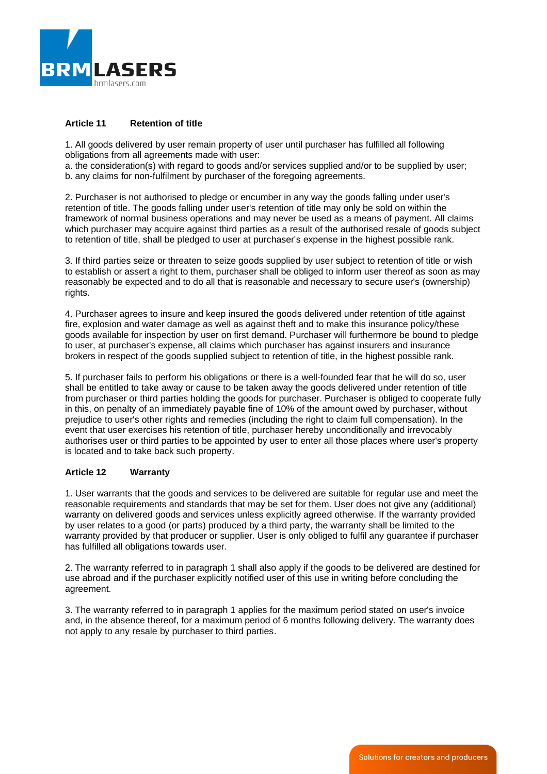

# **Article 11 Retention of title**

1. All goods delivered by user remain property of user until purchaser has fulfilled all following obligations from all agreements made with user:

a. the consideration(s) with regard to goods and/or services supplied and/or to be supplied by user; b. any claims for non-fulfilment by purchaser of the foregoing agreements.

2. Purchaser is not authorised to pledge or encumber in any way the goods falling under user's retention of title. The goods falling under user's retention of title may only be sold on within the framework of normal business operations and may never be used as a means of payment. All claims which purchaser may acquire against third parties as a result of the authorised resale of goods subject to retention of title, shall be pledged to user at purchaser's expense in the highest possible rank.

3. If third parties seize or threaten to seize goods supplied by user subject to retention of title or wish to establish or assert a right to them, purchaser shall be obliged to inform user thereof as soon as may reasonably be expected and to do all that is reasonable and necessary to secure user's (ownership) rights.

4. Purchaser agrees to insure and keep insured the goods delivered under retention of title against fire, explosion and water damage as well as against theft and to make this insurance policy/these goods available for inspection by user on first demand. Purchaser will furthermore be bound to pledge to user, at purchaser's expense, all claims which purchaser has against insurers and insurance brokers in respect of the goods supplied subject to retention of title, in the highest possible rank.

5. If purchaser fails to perform his obligations or there is a well-founded fear that he will do so, user shall be entitled to take away or cause to be taken away the goods delivered under retention of title from purchaser or third parties holding the goods for purchaser. Purchaser is obliged to cooperate fully in this, on penalty of an immediately payable fine of 10% of the amount owed by purchaser, without prejudice to user's other rights and remedies (including the right to claim full compensation). In the event that user exercises his retention of title, purchaser hereby unconditionally and irrevocably authorises user or third parties to be appointed by user to enter all those places where user's property is located and to take back such property.

#### **Article 12 Warranty**

1. User warrants that the goods and services to be delivered are suitable for regular use and meet the reasonable requirements and standards that may be set for them. User does not give any (additional) warranty on delivered goods and services unless explicitly agreed otherwise. If the warranty provided by user relates to a good (or parts) produced by a third party, the warranty shall be limited to the warranty provided by that producer or supplier. User is only obliged to fulfil any guarantee if purchaser has fulfilled all obligations towards user.

2. The warranty referred to in paragraph 1 shall also apply if the goods to be delivered are destined for use abroad and if the purchaser explicitly notified user of this use in writing before concluding the agreement.

3. The warranty referred to in paragraph 1 applies for the maximum period stated on user's invoice and, in the absence thereof, for a maximum period of 6 months following delivery. The warranty does not apply to any resale by purchaser to third parties.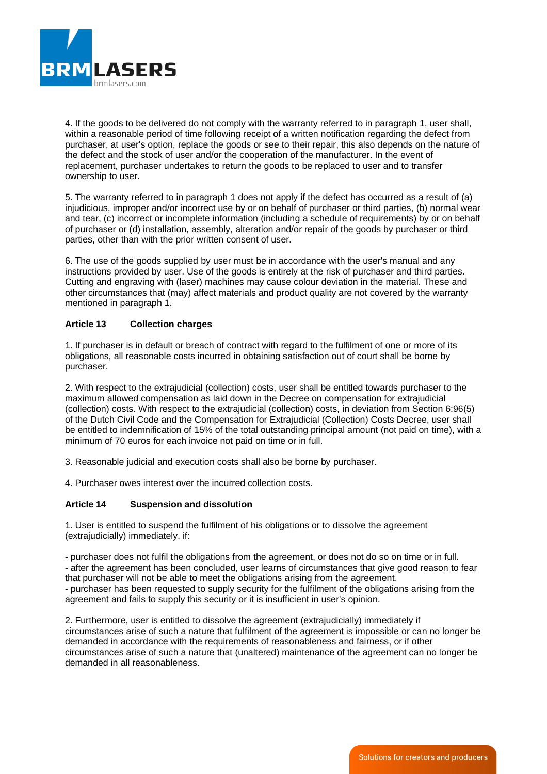

4. If the goods to be delivered do not comply with the warranty referred to in paragraph 1, user shall, within a reasonable period of time following receipt of a written notification regarding the defect from purchaser, at user's option, replace the goods or see to their repair, this also depends on the nature of the defect and the stock of user and/or the cooperation of the manufacturer. In the event of replacement, purchaser undertakes to return the goods to be replaced to user and to transfer ownership to user.

5. The warranty referred to in paragraph 1 does not apply if the defect has occurred as a result of (a) injudicious, improper and/or incorrect use by or on behalf of purchaser or third parties, (b) normal wear and tear, (c) incorrect or incomplete information (including a schedule of requirements) by or on behalf of purchaser or (d) installation, assembly, alteration and/or repair of the goods by purchaser or third parties, other than with the prior written consent of user.

6. The use of the goods supplied by user must be in accordance with the user's manual and any instructions provided by user. Use of the goods is entirely at the risk of purchaser and third parties. Cutting and engraving with (laser) machines may cause colour deviation in the material. These and other circumstances that (may) affect materials and product quality are not covered by the warranty mentioned in paragraph 1.

### **Article 13 Collection charges**

1. If purchaser is in default or breach of contract with regard to the fulfilment of one or more of its obligations, all reasonable costs incurred in obtaining satisfaction out of court shall be borne by purchaser.

2. With respect to the extrajudicial (collection) costs, user shall be entitled towards purchaser to the maximum allowed compensation as laid down in the Decree on compensation for extrajudicial (collection) costs. With respect to the extrajudicial (collection) costs, in deviation from Section 6:96(5) of the Dutch Civil Code and the Compensation for Extrajudicial (Collection) Costs Decree, user shall be entitled to indemnification of 15% of the total outstanding principal amount (not paid on time), with a minimum of 70 euros for each invoice not paid on time or in full.

3. Reasonable judicial and execution costs shall also be borne by purchaser.

4. Purchaser owes interest over the incurred collection costs.

#### **Article 14 Suspension and dissolution**

1. User is entitled to suspend the fulfilment of his obligations or to dissolve the agreement (extrajudicially) immediately, if:

- purchaser does not fulfil the obligations from the agreement, or does not do so on time or in full. - after the agreement has been concluded, user learns of circumstances that give good reason to fear that purchaser will not be able to meet the obligations arising from the agreement.

- purchaser has been requested to supply security for the fulfilment of the obligations arising from the agreement and fails to supply this security or it is insufficient in user's opinion.

2. Furthermore, user is entitled to dissolve the agreement (extrajudicially) immediately if circumstances arise of such a nature that fulfilment of the agreement is impossible or can no longer be demanded in accordance with the requirements of reasonableness and fairness, or if other circumstances arise of such a nature that (unaltered) maintenance of the agreement can no longer be demanded in all reasonableness.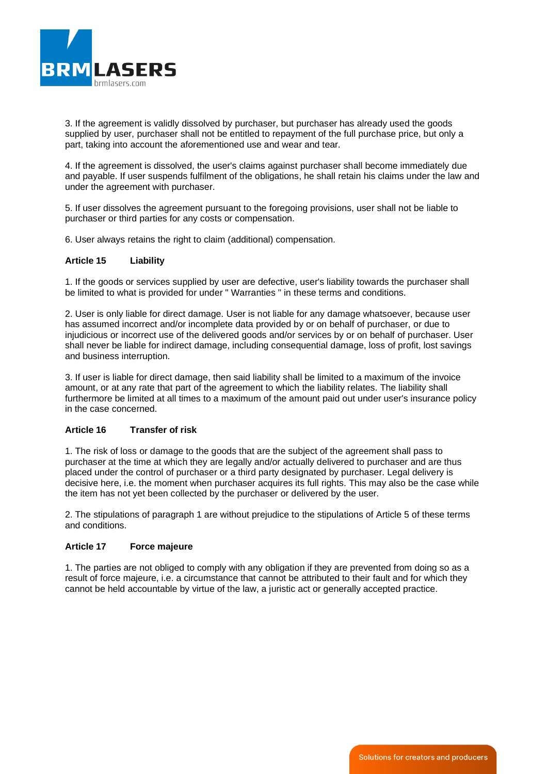

3. If the agreement is validly dissolved by purchaser, but purchaser has already used the goods supplied by user, purchaser shall not be entitled to repayment of the full purchase price, but only a part, taking into account the aforementioned use and wear and tear.

4. If the agreement is dissolved, the user's claims against purchaser shall become immediately due and payable. If user suspends fulfilment of the obligations, he shall retain his claims under the law and under the agreement with purchaser.

5. If user dissolves the agreement pursuant to the foregoing provisions, user shall not be liable to purchaser or third parties for any costs or compensation.

6. User always retains the right to claim (additional) compensation.

### **Article 15 Liability**

1. If the goods or services supplied by user are defective, user's liability towards the purchaser shall be limited to what is provided for under " Warranties " in these terms and conditions.

2. User is only liable for direct damage. User is not liable for any damage whatsoever, because user has assumed incorrect and/or incomplete data provided by or on behalf of purchaser, or due to injudicious or incorrect use of the delivered goods and/or services by or on behalf of purchaser. User shall never be liable for indirect damage, including consequential damage, loss of profit, lost savings and business interruption.

3. If user is liable for direct damage, then said liability shall be limited to a maximum of the invoice amount, or at any rate that part of the agreement to which the liability relates. The liability shall furthermore be limited at all times to a maximum of the amount paid out under user's insurance policy in the case concerned.

### **Article 16 Transfer of risk**

1. The risk of loss or damage to the goods that are the subject of the agreement shall pass to purchaser at the time at which they are legally and/or actually delivered to purchaser and are thus placed under the control of purchaser or a third party designated by purchaser. Legal delivery is decisive here, i.e. the moment when purchaser acquires its full rights. This may also be the case while the item has not yet been collected by the purchaser or delivered by the user.

2. The stipulations of paragraph 1 are without prejudice to the stipulations of Article 5 of these terms and conditions.

#### **Article 17 Force majeure**

1. The parties are not obliged to comply with any obligation if they are prevented from doing so as a result of force majeure, i.e. a circumstance that cannot be attributed to their fault and for which they cannot be held accountable by virtue of the law, a juristic act or generally accepted practice.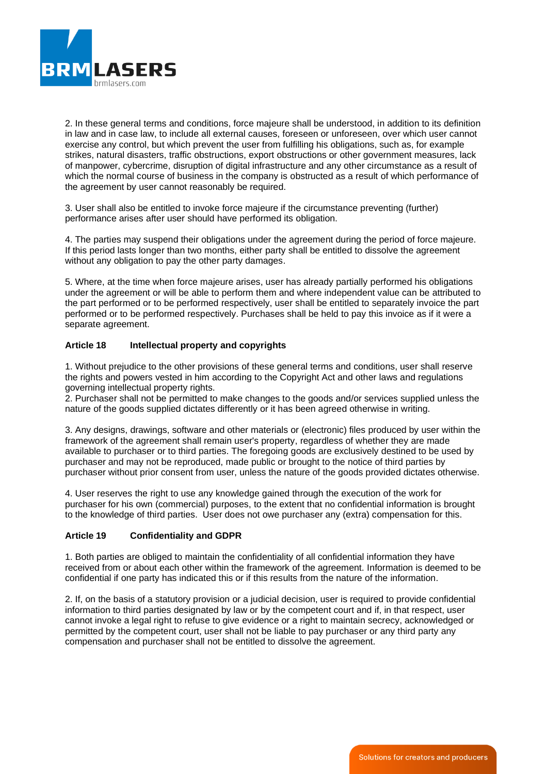

2. In these general terms and conditions, force majeure shall be understood, in addition to its definition in law and in case law, to include all external causes, foreseen or unforeseen, over which user cannot exercise any control, but which prevent the user from fulfilling his obligations, such as, for example strikes, natural disasters, traffic obstructions, export obstructions or other government measures, lack of manpower, cybercrime, disruption of digital infrastructure and any other circumstance as a result of which the normal course of business in the company is obstructed as a result of which performance of the agreement by user cannot reasonably be required.

3. User shall also be entitled to invoke force majeure if the circumstance preventing (further) performance arises after user should have performed its obligation.

4. The parties may suspend their obligations under the agreement during the period of force majeure. If this period lasts longer than two months, either party shall be entitled to dissolve the agreement without any obligation to pay the other party damages.

5. Where, at the time when force majeure arises, user has already partially performed his obligations under the agreement or will be able to perform them and where independent value can be attributed to the part performed or to be performed respectively, user shall be entitled to separately invoice the part performed or to be performed respectively. Purchases shall be held to pay this invoice as if it were a separate agreement.

# **Article 18 Intellectual property and copyrights**

1. Without prejudice to the other provisions of these general terms and conditions, user shall reserve the rights and powers vested in him according to the Copyright Act and other laws and regulations governing intellectual property rights.

2. Purchaser shall not be permitted to make changes to the goods and/or services supplied unless the nature of the goods supplied dictates differently or it has been agreed otherwise in writing.

3. Any designs, drawings, software and other materials or (electronic) files produced by user within the framework of the agreement shall remain user's property, regardless of whether they are made available to purchaser or to third parties. The foregoing goods are exclusively destined to be used by purchaser and may not be reproduced, made public or brought to the notice of third parties by purchaser without prior consent from user, unless the nature of the goods provided dictates otherwise.

4. User reserves the right to use any knowledge gained through the execution of the work for purchaser for his own (commercial) purposes, to the extent that no confidential information is brought to the knowledge of third parties. User does not owe purchaser any (extra) compensation for this.

#### **Article 19 Confidentiality and GDPR**

1. Both parties are obliged to maintain the confidentiality of all confidential information they have received from or about each other within the framework of the agreement. Information is deemed to be confidential if one party has indicated this or if this results from the nature of the information.

2. If, on the basis of a statutory provision or a judicial decision, user is required to provide confidential information to third parties designated by law or by the competent court and if, in that respect, user cannot invoke a legal right to refuse to give evidence or a right to maintain secrecy, acknowledged or permitted by the competent court, user shall not be liable to pay purchaser or any third party any compensation and purchaser shall not be entitled to dissolve the agreement.